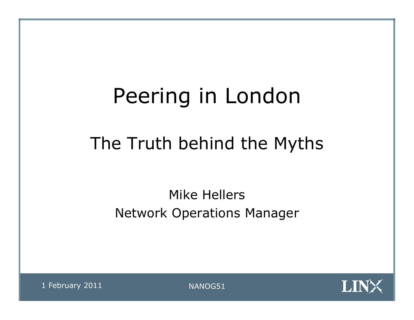# Peering in London

# The Truth behind the Myths

Mike Hellers Network Operations Manager

1 February 2011 MANOG51

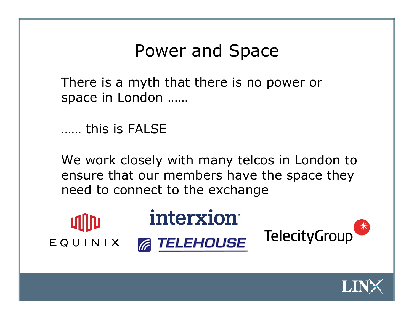### Power and Space

There is a myth that there is no power or space in London ……

…… this is FALSE

We work closely with many telcos in London to ensure that our members have the space they need to connect to the exchange



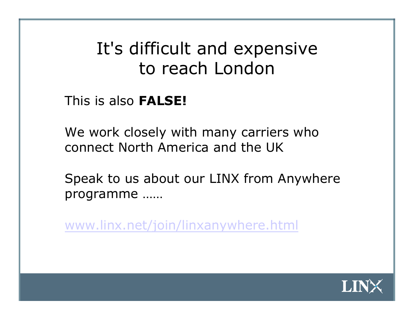# It's difficult and expensive to reach London

This is also **FALSE!** 

We work closely with many carriers who connect North America and the UK

Speak to us about our LINX from Anywhere programme ……

www.linx.net/join/linxanywhere.html

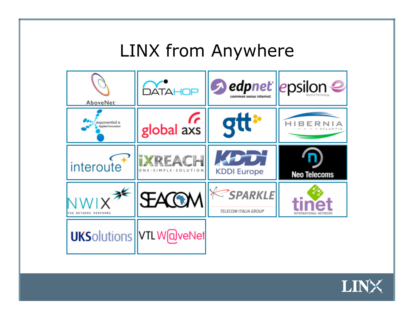### LINX from Anywhere



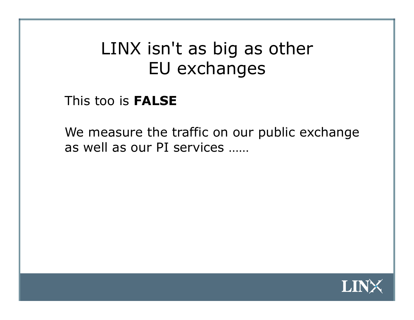# LINX isn't as big as other EU exchanges

#### This too is **FALSE**

We measure the traffic on our public exchange as well as our PI services ……

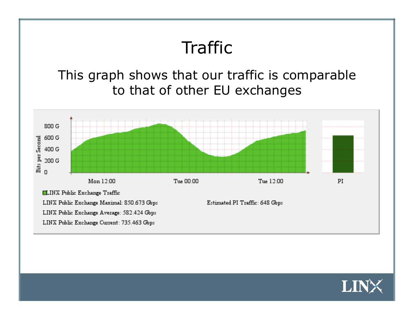

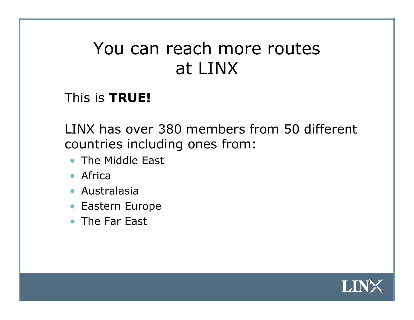### You can reach more routes at LINX

#### This is **TRUE!**

LINX has over 380 members from 50 different countries including ones from:

- The Middle East
- Africa
- Australasia
- Eastern Europe
- The Far East

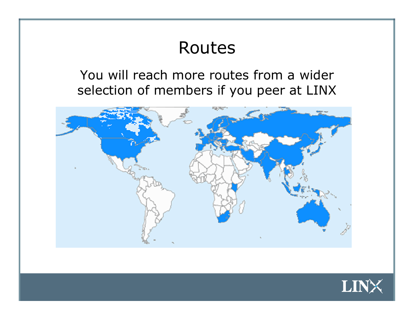# Routes

You will reach more routes from a wider selection of members if you peer at LINX



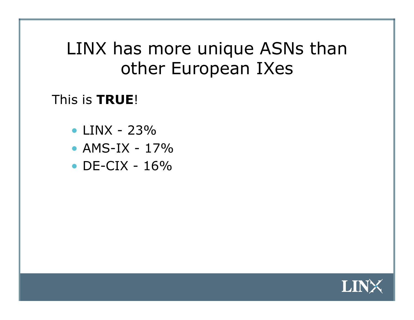### LINX has more unique ASNs than other European IXes

#### This is **TRUE**!

- LINX 23%
- $AMS-IX 17%$
- $DE-CIX 16%$

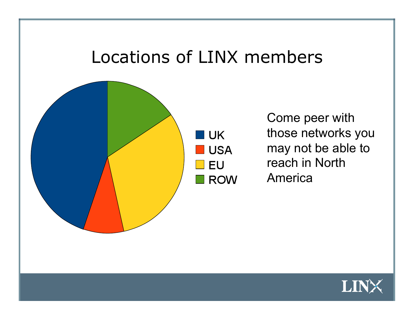### Locations of LINX members

I UK

**EU** 

**USA** 

**ROW** 



Come peer with those networks you may not be able to reach in North America

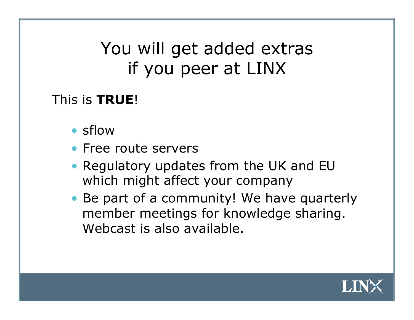# You will get added extras if you peer at LINX

#### This is **TRUE**!

- sflow
- Free route servers
- Regulatory updates from the UK and EU which might affect your company
- Be part of a community! We have quarterly member meetings for knowledge sharing. Webcast is also available.

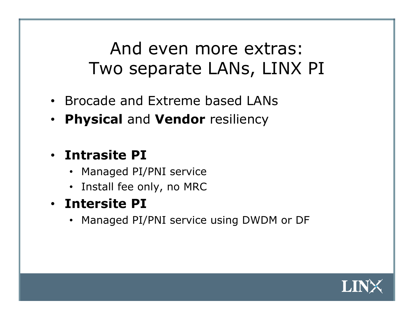# And even more extras: Two separate LANs, LINX PI

- Brocade and Extreme based LANs
- **Physical** and **Vendor** resiliency

#### • **Intrasite PI**

- Managed PI/PNI service
- Install fee only, no MRC
- **Intersite PI** 
	- Managed PI/PNI service using DWDM or DF